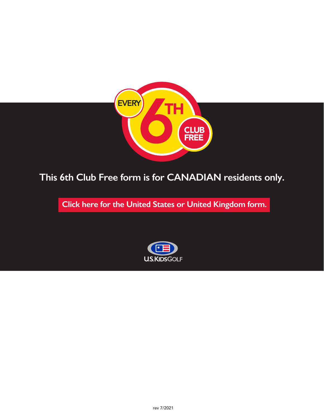

# **This 6th Club Free form is for CANADIAN residents only.**

**[Click here for the United States or United Kingdom form.](https://www.uskidsgolf.com/6th-club-free)**

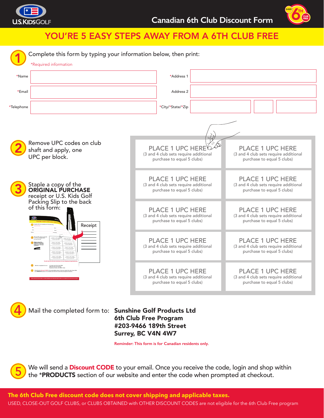



### YOU'RE 5 EASY STEPS AWAY FROM A 6TH CLUB FREE

| *Name                                                                         |                                                                                                | *Address 1                                                                                     |  |                                                                                                |                                                                                                |  |
|-------------------------------------------------------------------------------|------------------------------------------------------------------------------------------------|------------------------------------------------------------------------------------------------|--|------------------------------------------------------------------------------------------------|------------------------------------------------------------------------------------------------|--|
| *Email                                                                        |                                                                                                | Address <sub>2</sub>                                                                           |  |                                                                                                |                                                                                                |  |
| *Telephone                                                                    |                                                                                                | *City/*State/*Zip                                                                              |  |                                                                                                |                                                                                                |  |
| Remove UPC codes on club<br>shaft and apply, one<br>UPC per block.            | PLACE 1 UPC HEREY<br>(3 and 4 club sets require additional<br>purchase to equal 5 clubs)       |                                                                                                |  | <b>PLACE 1 UPC HERE</b><br>(3 and 4 club sets require additional<br>purchase to equal 5 clubs) |                                                                                                |  |
| Staple a copy of the<br><b>ORIGINAL PURCHASE</b><br>receipt or U.S. Kids Golf | <b>PLACE 1 UPC HERE</b><br>(3 and 4 club sets require additional<br>purchase to equal 5 clubs) |                                                                                                |  | <b>PLACE 1 UPC HERE</b><br>(3 and 4 club sets require additional<br>purchase to equal 5 clubs) |                                                                                                |  |
| Packing Slip to the back<br>of this form:<br>Receipt                          | <b>PLACE 1 UPC HERE</b><br>(3 and 4 club sets require additional<br>purchase to equal 5 clubs) |                                                                                                |  | <b>PLACE 1 UPC HERE</b><br>(3 and 4 club sets require additional<br>purchase to equal 5 clubs) |                                                                                                |  |
| PLACE 1 UPC HERE<br>First Editors registered                                  |                                                                                                | <b>PLACE 1 UPC HERE</b><br>(3 and 4 club sets require additional<br>purchase to equal 5 clubs) |  | <b>PLACE 1 UPC HERE</b><br>(3 and 4 club sets require additional<br>purchase to equal 5 clubs) |                                                                                                |  |
|                                                                               |                                                                                                | <b>PLACE 1 UPC HERE</b><br>(3 and 4 club sets require additional<br>purchase to equal 5 clubs) |  |                                                                                                | <b>PLACE 1 UPC HERE</b><br>(3 and 4 club sets require additional<br>purchase to equal 5 clubs) |  |

Mail the completed form to: Sunshine Golf Products Ltd 6th Club Free Program #203-9466 189th Street Surrey, BC V4N 4W7

**Reminder: This form is for Canadian residents only.**

We will send a **Discount CODE** to your email. Once you receive the code, login and shop within the \*PRODUCTS section of our website and enter the code when prompted at checkout.